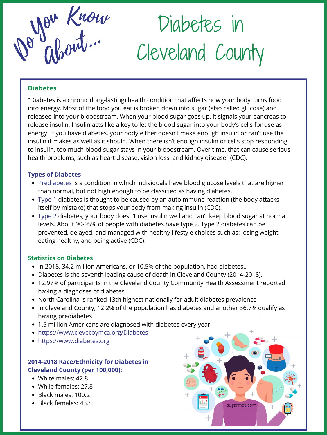About... De Glorit.

Diabetes in Cleveland County

#### **Diabetes**

"Diabetes is a chronic (long-lasting) health condition that affects how your body turns food into energy. Most of the food you eat is broken down into sugar (also called glucose) and released into your bloodstream. When your blood sugar goes up, it signals your pancreas to release insulin. Insulin acts like a key to let the blood sugar into your body's cells for use as energy. If you have diabetes, your body either doesn't make enough insulin or can't use the insulin it makes as well as it should. When there isn't enough insulin or cells stop responding to insulin, too much blood sugar stays in your bloodstream. Over time, that can cause serious health problems, such as heart disease, vision loss, and kidney disease" (CDC).

- Prediabetes is a condition in which individuals have blood glucose levels that are higher than normal, but not high enough to be classified as having diabetes.
- Type 1 diabetes is thought to be caused by an autoimmune reaction (the body attacks itself by mistake) that stops your body from making insulin (CDC).
- Type 2 diabetes, your body doesn't use insulin well and can't keep blood sugar at normal levels. About 90-95% of people with diabetes have type 2. Type 2 diabetes can be

## **Statistics on Diabetes**

- In 2018, 34.2 million Americans, or 10.5% of the population, had diabetes..
- Diabetes is the seventh leading cause of death in Cleveland County (2014-2018).
- 12.97% of participants in the Cleveland County Community Health Assessment reported having a diagnoses of diabetes
- North Carolina is ranked 13th highest nationally for adult diabetes prevalence
- In Cleveland County, 12.2% of the population has diabetes and another 36.7% qualify as having prediabetes
- 1.5 million Americans are diagnosed with diabetes every year.
- https://www.clevecoymca.org/Diabetes
- https://www.diabetes.org



prevented, delayed, and managed with healthy lifestyle choices such as: losing weight, eating healthy, and being active (CDC).

#### **Types of Diabetes**

- White males: 42.8
- While females: 27.8
- Black males: 100.2
- Black females: 43.8

# **2014-2018 Race/Ethnicity for Diabetes in Cleveland County (per 100,000):**